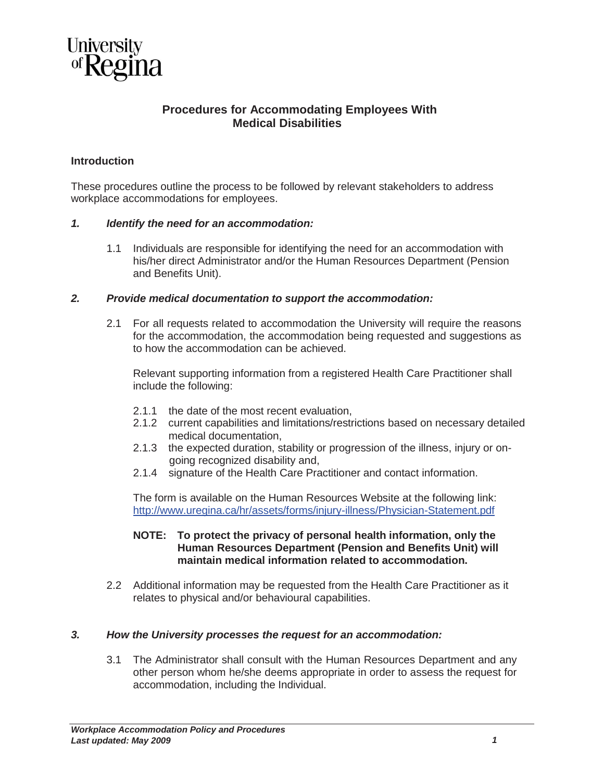

# **Procedures for Accommodating Employees With Medical Disabilities**

## **Introduction**

These procedures outline the process to be followed by relevant stakeholders to address workplace accommodations for employees.

#### *1. Identify the need for an accommodation:*

1.1 Individuals are responsible for identifying the need for an accommodation with his/her direct Administrator and/or the Human Resources Department (Pension and Benefits Unit).

### *2. Provide medical documentation to support the accommodation:*

2.1 For all requests related to accommodation the University will require the reasons for the accommodation, the accommodation being requested and suggestions as to how the accommodation can be achieved.

Relevant supporting information from a registered Health Care Practitioner shall include the following:

- 2.1.1 the date of the most recent evaluation,
- 2.1.2 current capabilities and limitations/restrictions based on necessary detailed medical documentation,
- 2.1.3 the expected duration, stability or progression of the illness, injury or ongoing recognized disability and,
- 2.1.4 signature of the Health Care Practitioner and contact information.

The form is available on the Human Resources Website at the following link: http://www.uregina.ca/hr/assets/forms/injury-illness/Physician-Statement.pdf

#### **NOTE: To protect the privacy of personal health information, only the Human Resources Department (Pension and Benefits Unit) will maintain medical information related to accommodation.**

2.2 Additional information may be requested from the Health Care Practitioner as it relates to physical and/or behavioural capabilities.

## *3. How the University processes the request for an accommodation:*

3.1 The Administrator shall consult with the Human Resources Department and any other person whom he/she deems appropriate in order to assess the request for accommodation, including the Individual.